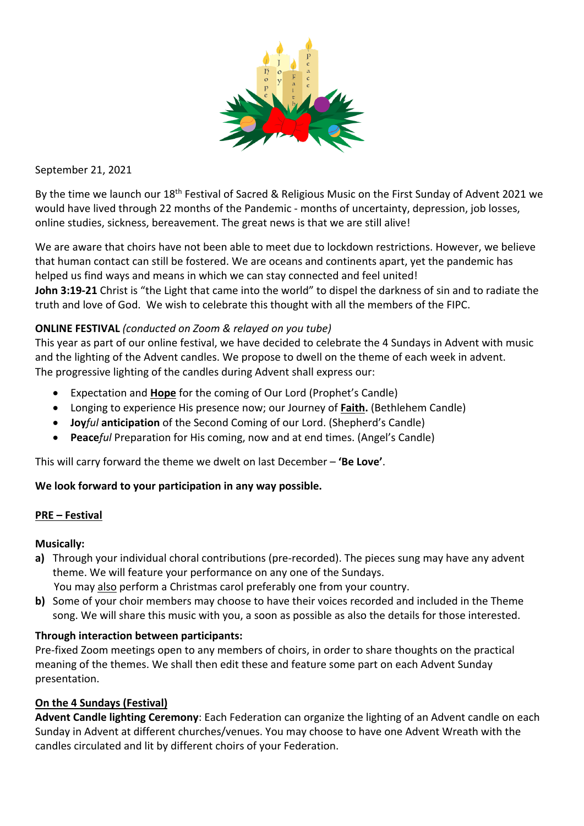

September 21, 2021

By the time we launch our 18th Festival of Sacred & Religious Music on the First Sunday of Advent 2021 we would have lived through 22 months of the Pandemic - months of uncertainty, depression, job losses, online studies, sickness, bereavement. The great news is that we are still alive!

We are aware that choirs have not been able to meet due to lockdown restrictions. However, we believe that human contact can still be fostered. We are oceans and continents apart, yet the pandemic has helped us find ways and means in which we can stay connected and feel united! **John 3:19-21** Christ is "the Light that came into the world" to dispel the darkness of sin and to radiate the truth and love of God. We wish to celebrate this thought with all the members of the FIPC.

# **ONLINE FESTIVAL** *(conducted on Zoom & relayed on you tube)*

This year as part of our online festival, we have decided to celebrate the 4 Sundays in Advent with music and the lighting of the Advent candles. We propose to dwell on the theme of each week in advent. The progressive lighting of the candles during Advent shall express our:

- Expectation and **Hope** for the coming of Our Lord (Prophet's Candle)
- Longing to experience His presence now; our Journey of **Faith.** (Bethlehem Candle)
- **Joy***ful* **anticipation** of the Second Coming of our Lord. (Shepherd's Candle)
- **Peace***ful* Preparation for His coming, now and at end times. (Angel's Candle)

This will carry forward the theme we dwelt on last December – **'Be Love'**.

## **We look forward to your participation in any way possible.**

## **PRE – Festival**

## **Musically:**

- **a)** Through your individual choral contributions (pre-recorded). The pieces sung may have any advent theme. We will feature your performance on any one of the Sundays.
	- You may also perform a Christmas carol preferably one from your country.
- **b)** Some of your choir members may choose to have their voices recorded and included in the Theme song. We will share this music with you, a soon as possible as also the details for those interested.

## **Through interaction between participants:**

Pre-fixed Zoom meetings open to any members of choirs, in order to share thoughts on the practical meaning of the themes. We shall then edit these and feature some part on each Advent Sunday presentation.

## **On the 4 Sundays (Festival)**

**Advent Candle lighting Ceremony**: Each Federation can organize the lighting of an Advent candle on each Sunday in Advent at different churches/venues. You may choose to have one Advent Wreath with the candles circulated and lit by different choirs of your Federation.